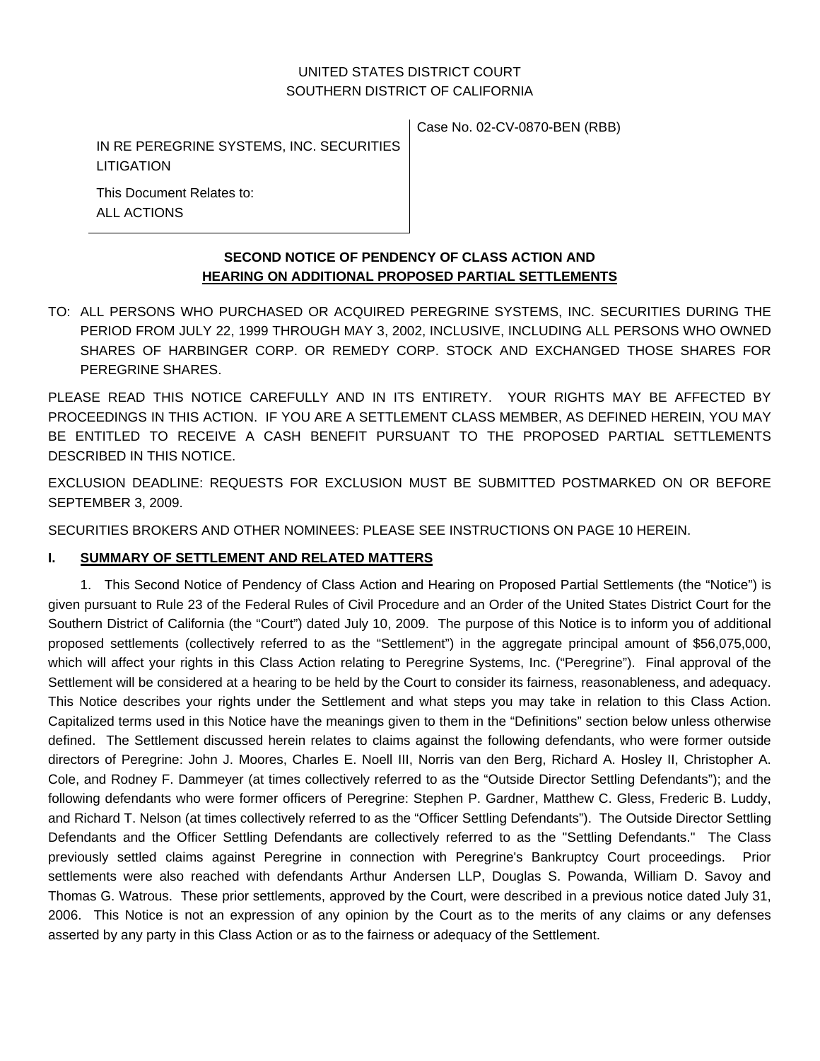# UNITED STATES DISTRICT COURT SOUTHERN DISTRICT OF CALIFORNIA

IN RE PEREGRINE SYSTEMS, INC. SECURITIES LITIGATION

Case No. 02-CV-0870-BEN (RBB)

This Document Relates to: ALL ACTIONS

### **SECOND NOTICE OF PENDENCY OF CLASS ACTION AND HEARING ON ADDITIONAL PROPOSED PARTIAL SETTLEMENTS**

TO: ALL PERSONS WHO PURCHASED OR ACQUIRED PEREGRINE SYSTEMS, INC. SECURITIES DURING THE PERIOD FROM JULY 22, 1999 THROUGH MAY 3, 2002, INCLUSIVE, INCLUDING ALL PERSONS WHO OWNED SHARES OF HARBINGER CORP. OR REMEDY CORP. STOCK AND EXCHANGED THOSE SHARES FOR PEREGRINE SHARES.

PLEASE READ THIS NOTICE CAREFULLY AND IN ITS ENTIRETY. YOUR RIGHTS MAY BE AFFECTED BY PROCEEDINGS IN THIS ACTION. IF YOU ARE A SETTLEMENT CLASS MEMBER, AS DEFINED HEREIN, YOU MAY BE ENTITLED TO RECEIVE A CASH BENEFIT PURSUANT TO THE PROPOSED PARTIAL SETTLEMENTS DESCRIBED IN THIS NOTICE.

EXCLUSION DEADLINE: REQUESTS FOR EXCLUSION MUST BE SUBMITTED POSTMARKED ON OR BEFORE SEPTEMBER 3, 2009.

SECURITIES BROKERS AND OTHER NOMINEES: PLEASE SEE INSTRUCTIONS ON PAGE 10 HEREIN.

# **I. SUMMARY OF SETTLEMENT AND RELATED MATTERS**

1. This Second Notice of Pendency of Class Action and Hearing on Proposed Partial Settlements (the "Notice") is given pursuant to Rule 23 of the Federal Rules of Civil Procedure and an Order of the United States District Court for the Southern District of California (the "Court") dated July 10, 2009. The purpose of this Notice is to inform you of additional proposed settlements (collectively referred to as the "Settlement") in the aggregate principal amount of \$56,075,000, which will affect your rights in this Class Action relating to Peregrine Systems, Inc. ("Peregrine"). Final approval of the Settlement will be considered at a hearing to be held by the Court to consider its fairness, reasonableness, and adequacy. This Notice describes your rights under the Settlement and what steps you may take in relation to this Class Action. Capitalized terms used in this Notice have the meanings given to them in the "Definitions" section below unless otherwise defined. The Settlement discussed herein relates to claims against the following defendants, who were former outside directors of Peregrine: John J. Moores, Charles E. Noell III, Norris van den Berg, Richard A. Hosley II, Christopher A. Cole, and Rodney F. Dammeyer (at times collectively referred to as the "Outside Director Settling Defendants"); and the following defendants who were former officers of Peregrine: Stephen P. Gardner, Matthew C. Gless, Frederic B. Luddy, and Richard T. Nelson (at times collectively referred to as the "Officer Settling Defendants"). The Outside Director Settling Defendants and the Officer Settling Defendants are collectively referred to as the "Settling Defendants." The Class previously settled claims against Peregrine in connection with Peregrine's Bankruptcy Court proceedings. Prior settlements were also reached with defendants Arthur Andersen LLP, Douglas S. Powanda, William D. Savoy and Thomas G. Watrous. These prior settlements, approved by the Court, were described in a previous notice dated July 31, 2006. This Notice is not an expression of any opinion by the Court as to the merits of any claims or any defenses asserted by any party in this Class Action or as to the fairness or adequacy of the Settlement.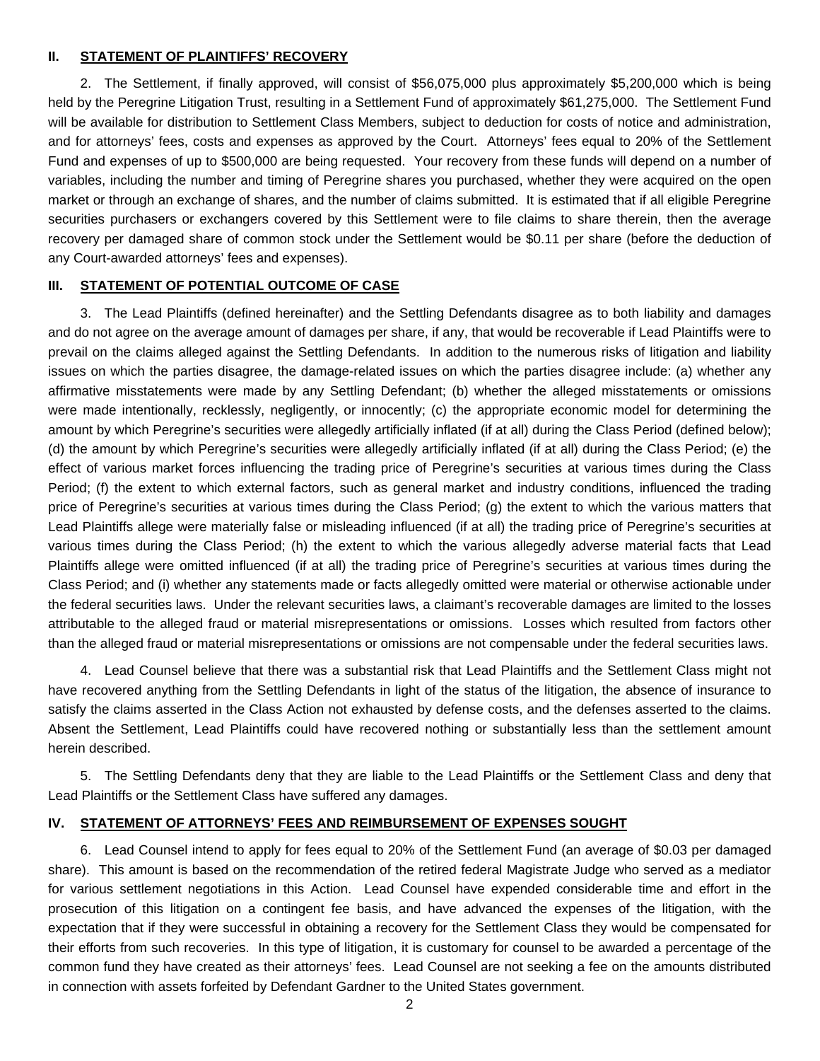#### **II. STATEMENT OF PLAINTIFFS' RECOVERY**

2. The Settlement, if finally approved, will consist of \$56,075,000 plus approximately \$5,200,000 which is being held by the Peregrine Litigation Trust, resulting in a Settlement Fund of approximately \$61,275,000. The Settlement Fund will be available for distribution to Settlement Class Members, subject to deduction for costs of notice and administration, and for attorneys' fees, costs and expenses as approved by the Court. Attorneys' fees equal to 20% of the Settlement Fund and expenses of up to \$500,000 are being requested. Your recovery from these funds will depend on a number of variables, including the number and timing of Peregrine shares you purchased, whether they were acquired on the open market or through an exchange of shares, and the number of claims submitted. It is estimated that if all eligible Peregrine securities purchasers or exchangers covered by this Settlement were to file claims to share therein, then the average recovery per damaged share of common stock under the Settlement would be \$0.11 per share (before the deduction of any Court-awarded attorneys' fees and expenses).

#### **III. STATEMENT OF POTENTIAL OUTCOME OF CASE**

3. The Lead Plaintiffs (defined hereinafter) and the Settling Defendants disagree as to both liability and damages and do not agree on the average amount of damages per share, if any, that would be recoverable if Lead Plaintiffs were to prevail on the claims alleged against the Settling Defendants. In addition to the numerous risks of litigation and liability issues on which the parties disagree, the damage-related issues on which the parties disagree include: (a) whether any affirmative misstatements were made by any Settling Defendant; (b) whether the alleged misstatements or omissions were made intentionally, recklessly, negligently, or innocently; (c) the appropriate economic model for determining the amount by which Peregrine's securities were allegedly artificially inflated (if at all) during the Class Period (defined below); (d) the amount by which Peregrine's securities were allegedly artificially inflated (if at all) during the Class Period; (e) the effect of various market forces influencing the trading price of Peregrine's securities at various times during the Class Period; (f) the extent to which external factors, such as general market and industry conditions, influenced the trading price of Peregrine's securities at various times during the Class Period; (g) the extent to which the various matters that Lead Plaintiffs allege were materially false or misleading influenced (if at all) the trading price of Peregrine's securities at various times during the Class Period; (h) the extent to which the various allegedly adverse material facts that Lead Plaintiffs allege were omitted influenced (if at all) the trading price of Peregrine's securities at various times during the Class Period; and (i) whether any statements made or facts allegedly omitted were material or otherwise actionable under the federal securities laws. Under the relevant securities laws, a claimant's recoverable damages are limited to the losses attributable to the alleged fraud or material misrepresentations or omissions. Losses which resulted from factors other than the alleged fraud or material misrepresentations or omissions are not compensable under the federal securities laws.

4. Lead Counsel believe that there was a substantial risk that Lead Plaintiffs and the Settlement Class might not have recovered anything from the Settling Defendants in light of the status of the litigation, the absence of insurance to satisfy the claims asserted in the Class Action not exhausted by defense costs, and the defenses asserted to the claims. Absent the Settlement, Lead Plaintiffs could have recovered nothing or substantially less than the settlement amount herein described.

5. The Settling Defendants deny that they are liable to the Lead Plaintiffs or the Settlement Class and deny that Lead Plaintiffs or the Settlement Class have suffered any damages.

#### **IV. STATEMENT OF ATTORNEYS' FEES AND REIMBURSEMENT OF EXPENSES SOUGHT**

6. Lead Counsel intend to apply for fees equal to 20% of the Settlement Fund (an average of \$0.03 per damaged share). This amount is based on the recommendation of the retired federal Magistrate Judge who served as a mediator for various settlement negotiations in this Action. Lead Counsel have expended considerable time and effort in the prosecution of this litigation on a contingent fee basis, and have advanced the expenses of the litigation, with the expectation that if they were successful in obtaining a recovery for the Settlement Class they would be compensated for their efforts from such recoveries. In this type of litigation, it is customary for counsel to be awarded a percentage of the common fund they have created as their attorneys' fees. Lead Counsel are not seeking a fee on the amounts distributed in connection with assets forfeited by Defendant Gardner to the United States government.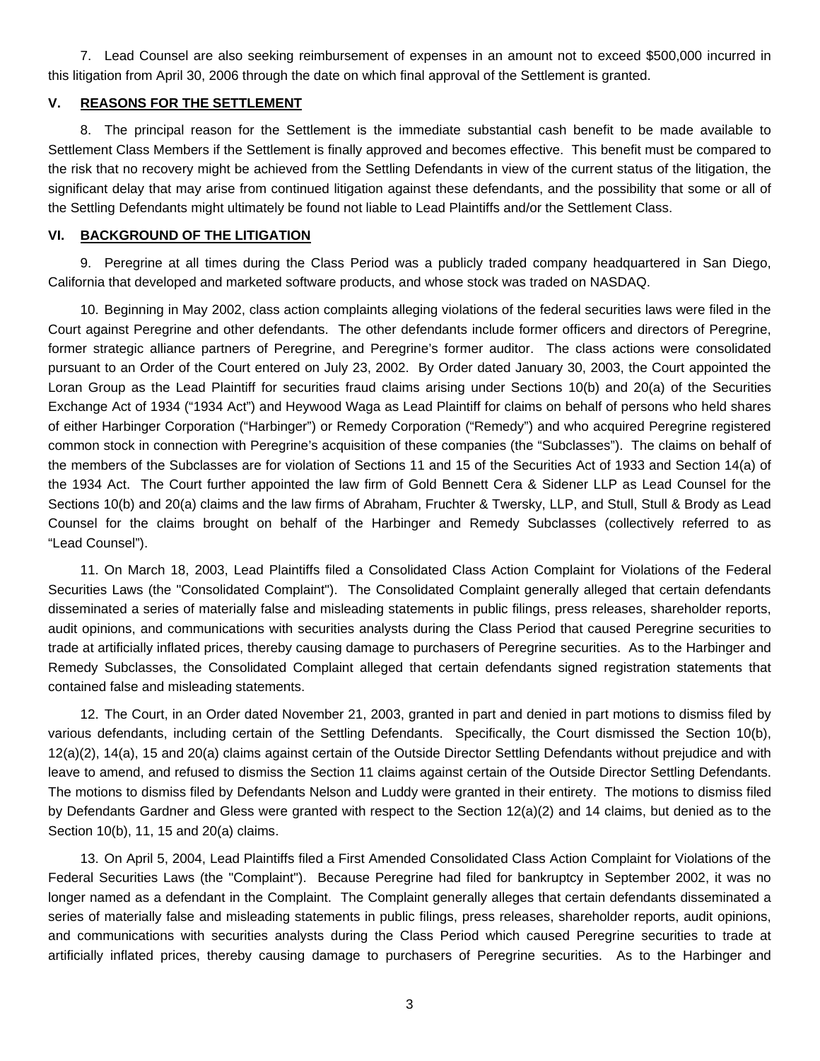7. Lead Counsel are also seeking reimbursement of expenses in an amount not to exceed \$500,000 incurred in this litigation from April 30, 2006 through the date on which final approval of the Settlement is granted.

#### **V. REASONS FOR THE SETTLEMENT**

8. The principal reason for the Settlement is the immediate substantial cash benefit to be made available to Settlement Class Members if the Settlement is finally approved and becomes effective. This benefit must be compared to the risk that no recovery might be achieved from the Settling Defendants in view of the current status of the litigation, the significant delay that may arise from continued litigation against these defendants, and the possibility that some or all of the Settling Defendants might ultimately be found not liable to Lead Plaintiffs and/or the Settlement Class.

#### **VI. BACKGROUND OF THE LITIGATION**

9. Peregrine at all times during the Class Period was a publicly traded company headquartered in San Diego, California that developed and marketed software products, and whose stock was traded on NASDAQ.

10. Beginning in May 2002, class action complaints alleging violations of the federal securities laws were filed in the Court against Peregrine and other defendants. The other defendants include former officers and directors of Peregrine, former strategic alliance partners of Peregrine, and Peregrine's former auditor. The class actions were consolidated pursuant to an Order of the Court entered on July 23, 2002. By Order dated January 30, 2003, the Court appointed the Loran Group as the Lead Plaintiff for securities fraud claims arising under Sections 10(b) and 20(a) of the Securities Exchange Act of 1934 ("1934 Act") and Heywood Waga as Lead Plaintiff for claims on behalf of persons who held shares of either Harbinger Corporation ("Harbinger") or Remedy Corporation ("Remedy") and who acquired Peregrine registered common stock in connection with Peregrine's acquisition of these companies (the "Subclasses"). The claims on behalf of the members of the Subclasses are for violation of Sections 11 and 15 of the Securities Act of 1933 and Section 14(a) of the 1934 Act. The Court further appointed the law firm of Gold Bennett Cera & Sidener LLP as Lead Counsel for the Sections 10(b) and 20(a) claims and the law firms of Abraham, Fruchter & Twersky, LLP, and Stull, Stull & Brody as Lead Counsel for the claims brought on behalf of the Harbinger and Remedy Subclasses (collectively referred to as "Lead Counsel").

11. On March 18, 2003, Lead Plaintiffs filed a Consolidated Class Action Complaint for Violations of the Federal Securities Laws (the "Consolidated Complaint"). The Consolidated Complaint generally alleged that certain defendants disseminated a series of materially false and misleading statements in public filings, press releases, shareholder reports, audit opinions, and communications with securities analysts during the Class Period that caused Peregrine securities to trade at artificially inflated prices, thereby causing damage to purchasers of Peregrine securities. As to the Harbinger and Remedy Subclasses, the Consolidated Complaint alleged that certain defendants signed registration statements that contained false and misleading statements.

12. The Court, in an Order dated November 21, 2003, granted in part and denied in part motions to dismiss filed by various defendants, including certain of the Settling Defendants. Specifically, the Court dismissed the Section 10(b), 12(a)(2), 14(a), 15 and 20(a) claims against certain of the Outside Director Settling Defendants without prejudice and with leave to amend, and refused to dismiss the Section 11 claims against certain of the Outside Director Settling Defendants. The motions to dismiss filed by Defendants Nelson and Luddy were granted in their entirety. The motions to dismiss filed by Defendants Gardner and Gless were granted with respect to the Section 12(a)(2) and 14 claims, but denied as to the Section 10(b), 11, 15 and 20(a) claims.

13. On April 5, 2004, Lead Plaintiffs filed a First Amended Consolidated Class Action Complaint for Violations of the Federal Securities Laws (the "Complaint"). Because Peregrine had filed for bankruptcy in September 2002, it was no longer named as a defendant in the Complaint. The Complaint generally alleges that certain defendants disseminated a series of materially false and misleading statements in public filings, press releases, shareholder reports, audit opinions, and communications with securities analysts during the Class Period which caused Peregrine securities to trade at artificially inflated prices, thereby causing damage to purchasers of Peregrine securities. As to the Harbinger and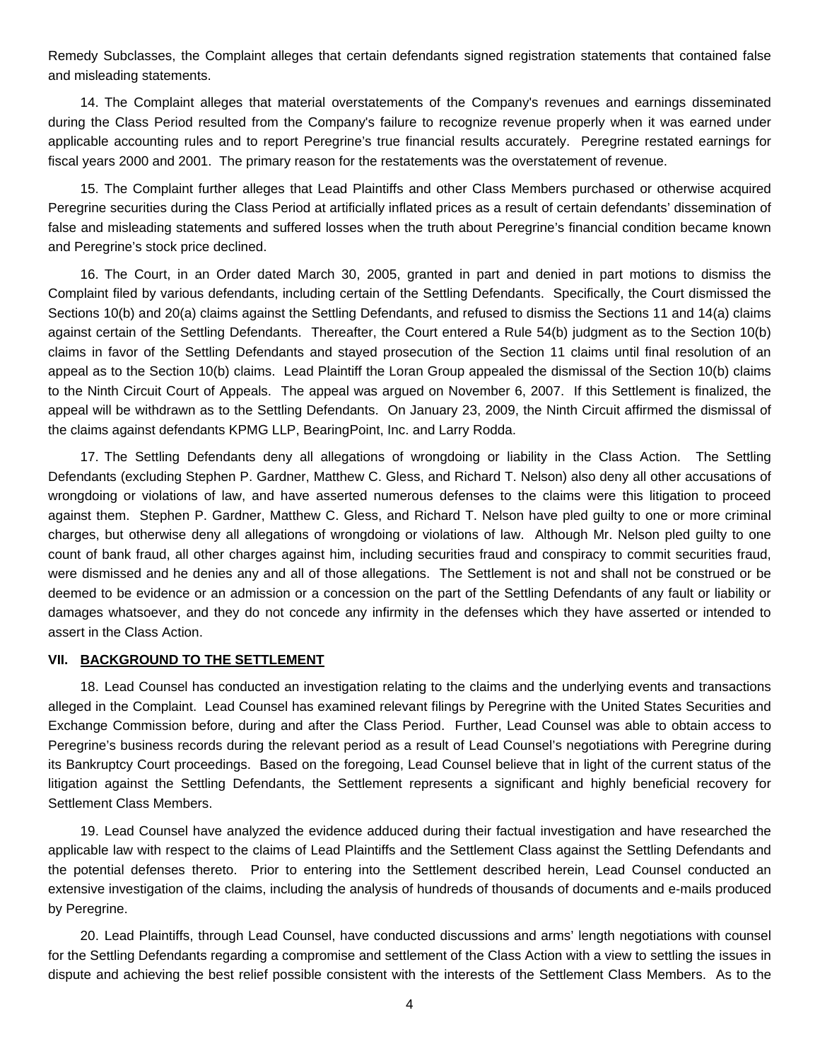Remedy Subclasses, the Complaint alleges that certain defendants signed registration statements that contained false and misleading statements.

14. The Complaint alleges that material overstatements of the Company's revenues and earnings disseminated during the Class Period resulted from the Company's failure to recognize revenue properly when it was earned under applicable accounting rules and to report Peregrine's true financial results accurately. Peregrine restated earnings for fiscal years 2000 and 2001. The primary reason for the restatements was the overstatement of revenue.

15. The Complaint further alleges that Lead Plaintiffs and other Class Members purchased or otherwise acquired Peregrine securities during the Class Period at artificially inflated prices as a result of certain defendants' dissemination of false and misleading statements and suffered losses when the truth about Peregrine's financial condition became known and Peregrine's stock price declined.

16. The Court, in an Order dated March 30, 2005, granted in part and denied in part motions to dismiss the Complaint filed by various defendants, including certain of the Settling Defendants. Specifically, the Court dismissed the Sections 10(b) and 20(a) claims against the Settling Defendants, and refused to dismiss the Sections 11 and 14(a) claims against certain of the Settling Defendants. Thereafter, the Court entered a Rule 54(b) judgment as to the Section 10(b) claims in favor of the Settling Defendants and stayed prosecution of the Section 11 claims until final resolution of an appeal as to the Section 10(b) claims. Lead Plaintiff the Loran Group appealed the dismissal of the Section 10(b) claims to the Ninth Circuit Court of Appeals. The appeal was argued on November 6, 2007. If this Settlement is finalized, the appeal will be withdrawn as to the Settling Defendants. On January 23, 2009, the Ninth Circuit affirmed the dismissal of the claims against defendants KPMG LLP, BearingPoint, Inc. and Larry Rodda.

17. The Settling Defendants deny all allegations of wrongdoing or liability in the Class Action. The Settling Defendants (excluding Stephen P. Gardner, Matthew C. Gless, and Richard T. Nelson) also deny all other accusations of wrongdoing or violations of law, and have asserted numerous defenses to the claims were this litigation to proceed against them. Stephen P. Gardner, Matthew C. Gless, and Richard T. Nelson have pled guilty to one or more criminal charges, but otherwise deny all allegations of wrongdoing or violations of law. Although Mr. Nelson pled guilty to one count of bank fraud, all other charges against him, including securities fraud and conspiracy to commit securities fraud, were dismissed and he denies any and all of those allegations. The Settlement is not and shall not be construed or be deemed to be evidence or an admission or a concession on the part of the Settling Defendants of any fault or liability or damages whatsoever, and they do not concede any infirmity in the defenses which they have asserted or intended to assert in the Class Action.

#### **VII. BACKGROUND TO THE SETTLEMENT**

18. Lead Counsel has conducted an investigation relating to the claims and the underlying events and transactions alleged in the Complaint. Lead Counsel has examined relevant filings by Peregrine with the United States Securities and Exchange Commission before, during and after the Class Period. Further, Lead Counsel was able to obtain access to Peregrine's business records during the relevant period as a result of Lead Counsel's negotiations with Peregrine during its Bankruptcy Court proceedings. Based on the foregoing, Lead Counsel believe that in light of the current status of the litigation against the Settling Defendants, the Settlement represents a significant and highly beneficial recovery for Settlement Class Members.

19. Lead Counsel have analyzed the evidence adduced during their factual investigation and have researched the applicable law with respect to the claims of Lead Plaintiffs and the Settlement Class against the Settling Defendants and the potential defenses thereto. Prior to entering into the Settlement described herein, Lead Counsel conducted an extensive investigation of the claims, including the analysis of hundreds of thousands of documents and e-mails produced by Peregrine.

20. Lead Plaintiffs, through Lead Counsel, have conducted discussions and arms' length negotiations with counsel for the Settling Defendants regarding a compromise and settlement of the Class Action with a view to settling the issues in dispute and achieving the best relief possible consistent with the interests of the Settlement Class Members. As to the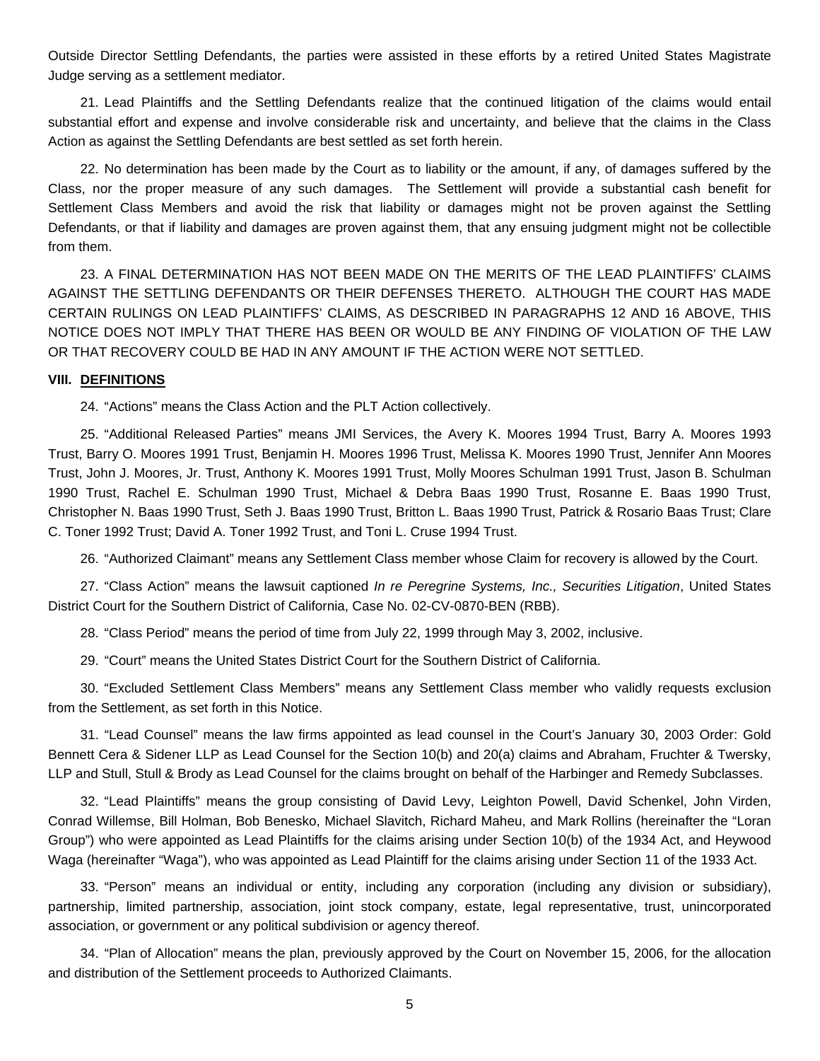Outside Director Settling Defendants, the parties were assisted in these efforts by a retired United States Magistrate Judge serving as a settlement mediator.

21. Lead Plaintiffs and the Settling Defendants realize that the continued litigation of the claims would entail substantial effort and expense and involve considerable risk and uncertainty, and believe that the claims in the Class Action as against the Settling Defendants are best settled as set forth herein.

22. No determination has been made by the Court as to liability or the amount, if any, of damages suffered by the Class, nor the proper measure of any such damages. The Settlement will provide a substantial cash benefit for Settlement Class Members and avoid the risk that liability or damages might not be proven against the Settling Defendants, or that if liability and damages are proven against them, that any ensuing judgment might not be collectible from them.

23. A FINAL DETERMINATION HAS NOT BEEN MADE ON THE MERITS OF THE LEAD PLAINTIFFS' CLAIMS AGAINST THE SETTLING DEFENDANTS OR THEIR DEFENSES THERETO. ALTHOUGH THE COURT HAS MADE CERTAIN RULINGS ON LEAD PLAINTIFFS' CLAIMS, AS DESCRIBED IN PARAGRAPHS 12 AND 16 ABOVE, THIS NOTICE DOES NOT IMPLY THAT THERE HAS BEEN OR WOULD BE ANY FINDING OF VIOLATION OF THE LAW OR THAT RECOVERY COULD BE HAD IN ANY AMOUNT IF THE ACTION WERE NOT SETTLED.

#### **VIII. DEFINITIONS**

24. "Actions" means the Class Action and the PLT Action collectively.

25. "Additional Released Parties" means JMI Services, the Avery K. Moores 1994 Trust, Barry A. Moores 1993 Trust, Barry O. Moores 1991 Trust, Benjamin H. Moores 1996 Trust, Melissa K. Moores 1990 Trust, Jennifer Ann Moores Trust, John J. Moores, Jr. Trust, Anthony K. Moores 1991 Trust, Molly Moores Schulman 1991 Trust, Jason B. Schulman 1990 Trust, Rachel E. Schulman 1990 Trust, Michael & Debra Baas 1990 Trust, Rosanne E. Baas 1990 Trust, Christopher N. Baas 1990 Trust, Seth J. Baas 1990 Trust, Britton L. Baas 1990 Trust, Patrick & Rosario Baas Trust; Clare C. Toner 1992 Trust; David A. Toner 1992 Trust, and Toni L. Cruse 1994 Trust.

26. "Authorized Claimant" means any Settlement Class member whose Claim for recovery is allowed by the Court.

27. "Class Action" means the lawsuit captioned *In re Peregrine Systems, Inc., Securities Litigation*, United States District Court for the Southern District of California, Case No. 02-CV-0870-BEN (RBB).

28. "Class Period" means the period of time from July 22, 1999 through May 3, 2002, inclusive.

29. "Court" means the United States District Court for the Southern District of California.

30. "Excluded Settlement Class Members" means any Settlement Class member who validly requests exclusion from the Settlement, as set forth in this Notice.

31. "Lead Counsel" means the law firms appointed as lead counsel in the Court's January 30, 2003 Order: Gold Bennett Cera & Sidener LLP as Lead Counsel for the Section 10(b) and 20(a) claims and Abraham, Fruchter & Twersky, LLP and Stull, Stull & Brody as Lead Counsel for the claims brought on behalf of the Harbinger and Remedy Subclasses.

32. "Lead Plaintiffs" means the group consisting of David Levy, Leighton Powell, David Schenkel, John Virden, Conrad Willemse, Bill Holman, Bob Benesko, Michael Slavitch, Richard Maheu, and Mark Rollins (hereinafter the "Loran Group") who were appointed as Lead Plaintiffs for the claims arising under Section 10(b) of the 1934 Act, and Heywood Waga (hereinafter "Waga"), who was appointed as Lead Plaintiff for the claims arising under Section 11 of the 1933 Act.

33. "Person" means an individual or entity, including any corporation (including any division or subsidiary), partnership, limited partnership, association, joint stock company, estate, legal representative, trust, unincorporated association, or government or any political subdivision or agency thereof.

34. "Plan of Allocation" means the plan, previously approved by the Court on November 15, 2006, for the allocation and distribution of the Settlement proceeds to Authorized Claimants.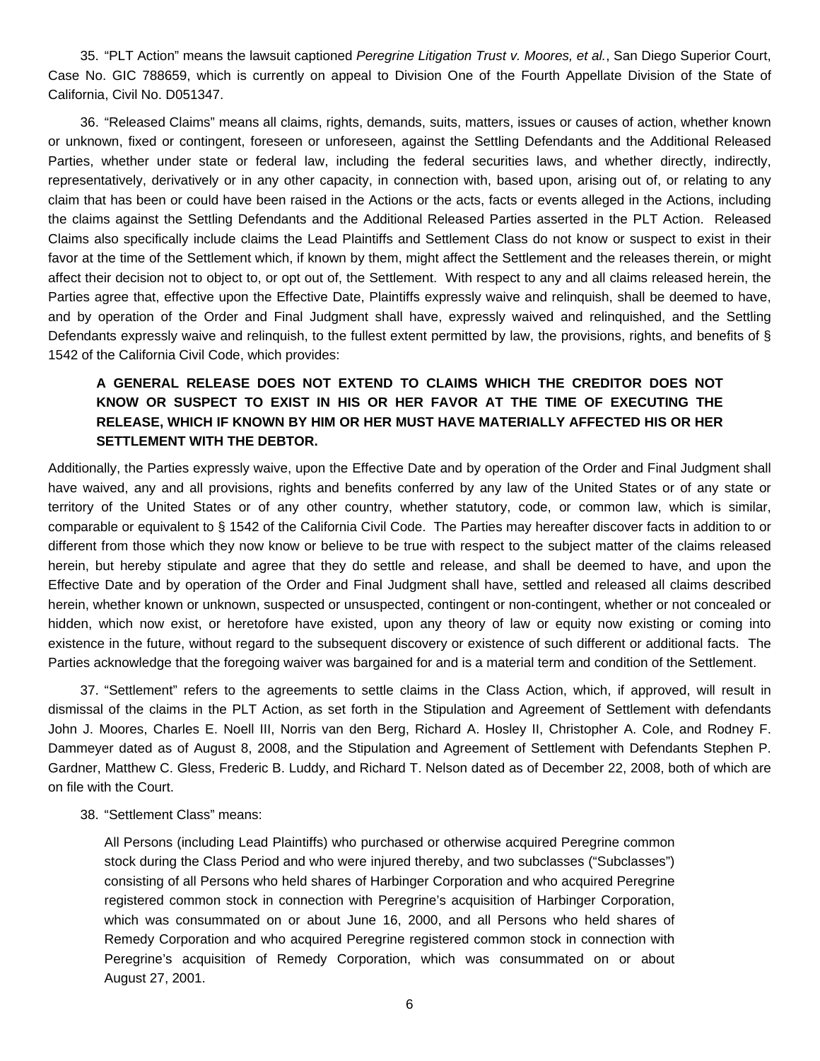35. "PLT Action" means the lawsuit captioned *Peregrine Litigation Trust v. Moores, et al.*, San Diego Superior Court, Case No. GIC 788659, which is currently on appeal to Division One of the Fourth Appellate Division of the State of California, Civil No. D051347.

36. "Released Claims" means all claims, rights, demands, suits, matters, issues or causes of action, whether known or unknown, fixed or contingent, foreseen or unforeseen, against the Settling Defendants and the Additional Released Parties, whether under state or federal law, including the federal securities laws, and whether directly, indirectly, representatively, derivatively or in any other capacity, in connection with, based upon, arising out of, or relating to any claim that has been or could have been raised in the Actions or the acts, facts or events alleged in the Actions, including the claims against the Settling Defendants and the Additional Released Parties asserted in the PLT Action. Released Claims also specifically include claims the Lead Plaintiffs and Settlement Class do not know or suspect to exist in their favor at the time of the Settlement which, if known by them, might affect the Settlement and the releases therein, or might affect their decision not to object to, or opt out of, the Settlement. With respect to any and all claims released herein, the Parties agree that, effective upon the Effective Date, Plaintiffs expressly waive and relinquish, shall be deemed to have, and by operation of the Order and Final Judgment shall have, expressly waived and relinquished, and the Settling Defendants expressly waive and relinquish, to the fullest extent permitted by law, the provisions, rights, and benefits of § 1542 of the California Civil Code, which provides:

# **A GENERAL RELEASE DOES NOT EXTEND TO CLAIMS WHICH THE CREDITOR DOES NOT KNOW OR SUSPECT TO EXIST IN HIS OR HER FAVOR AT THE TIME OF EXECUTING THE RELEASE, WHICH IF KNOWN BY HIM OR HER MUST HAVE MATERIALLY AFFECTED HIS OR HER SETTLEMENT WITH THE DEBTOR.**

Additionally, the Parties expressly waive, upon the Effective Date and by operation of the Order and Final Judgment shall have waived, any and all provisions, rights and benefits conferred by any law of the United States or of any state or territory of the United States or of any other country, whether statutory, code, or common law, which is similar, comparable or equivalent to § 1542 of the California Civil Code. The Parties may hereafter discover facts in addition to or different from those which they now know or believe to be true with respect to the subject matter of the claims released herein, but hereby stipulate and agree that they do settle and release, and shall be deemed to have, and upon the Effective Date and by operation of the Order and Final Judgment shall have, settled and released all claims described herein, whether known or unknown, suspected or unsuspected, contingent or non-contingent, whether or not concealed or hidden, which now exist, or heretofore have existed, upon any theory of law or equity now existing or coming into existence in the future, without regard to the subsequent discovery or existence of such different or additional facts. The Parties acknowledge that the foregoing waiver was bargained for and is a material term and condition of the Settlement.

37. "Settlement" refers to the agreements to settle claims in the Class Action, which, if approved, will result in dismissal of the claims in the PLT Action, as set forth in the Stipulation and Agreement of Settlement with defendants John J. Moores, Charles E. Noell III, Norris van den Berg, Richard A. Hosley II, Christopher A. Cole, and Rodney F. Dammeyer dated as of August 8, 2008, and the Stipulation and Agreement of Settlement with Defendants Stephen P. Gardner, Matthew C. Gless, Frederic B. Luddy, and Richard T. Nelson dated as of December 22, 2008, both of which are on file with the Court.

38. "Settlement Class" means:

All Persons (including Lead Plaintiffs) who purchased or otherwise acquired Peregrine common stock during the Class Period and who were injured thereby, and two subclasses ("Subclasses") consisting of all Persons who held shares of Harbinger Corporation and who acquired Peregrine registered common stock in connection with Peregrine's acquisition of Harbinger Corporation, which was consummated on or about June 16, 2000, and all Persons who held shares of Remedy Corporation and who acquired Peregrine registered common stock in connection with Peregrine's acquisition of Remedy Corporation, which was consummated on or about August 27, 2001.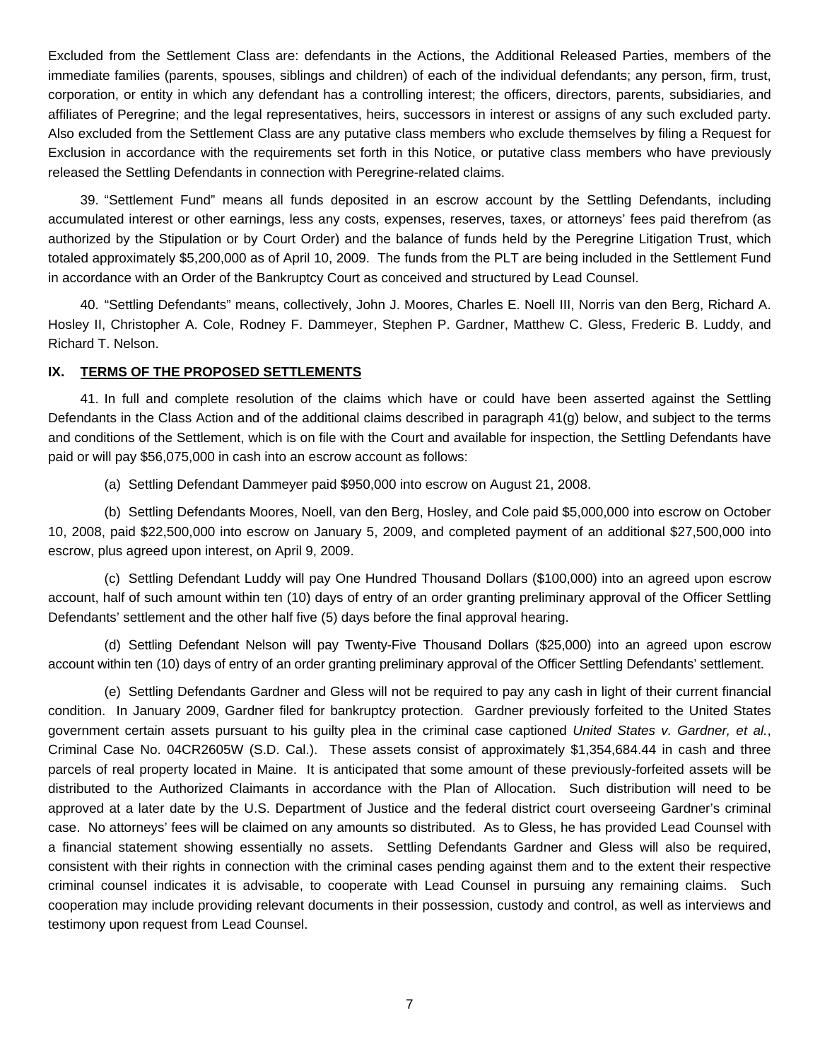Excluded from the Settlement Class are: defendants in the Actions, the Additional Released Parties, members of the immediate families (parents, spouses, siblings and children) of each of the individual defendants; any person, firm, trust, corporation, or entity in which any defendant has a controlling interest; the officers, directors, parents, subsidiaries, and affiliates of Peregrine; and the legal representatives, heirs, successors in interest or assigns of any such excluded party. Also excluded from the Settlement Class are any putative class members who exclude themselves by filing a Request for Exclusion in accordance with the requirements set forth in this Notice, or putative class members who have previously released the Settling Defendants in connection with Peregrine-related claims.

39. "Settlement Fund" means all funds deposited in an escrow account by the Settling Defendants, including accumulated interest or other earnings, less any costs, expenses, reserves, taxes, or attorneys' fees paid therefrom (as authorized by the Stipulation or by Court Order) and the balance of funds held by the Peregrine Litigation Trust, which totaled approximately \$5,200,000 as of April 10, 2009. The funds from the PLT are being included in the Settlement Fund in accordance with an Order of the Bankruptcy Court as conceived and structured by Lead Counsel.

40. "Settling Defendants" means, collectively, John J. Moores, Charles E. Noell III, Norris van den Berg, Richard A. Hosley II, Christopher A. Cole, Rodney F. Dammeyer, Stephen P. Gardner, Matthew C. Gless, Frederic B. Luddy, and Richard T. Nelson.

#### **IX. TERMS OF THE PROPOSED SETTLEMENTS**

41. In full and complete resolution of the claims which have or could have been asserted against the Settling Defendants in the Class Action and of the additional claims described in paragraph 41(g) below, and subject to the terms and conditions of the Settlement, which is on file with the Court and available for inspection, the Settling Defendants have paid or will pay \$56,075,000 in cash into an escrow account as follows:

(a) Settling Defendant Dammeyer paid \$950,000 into escrow on August 21, 2008.

 (b) Settling Defendants Moores, Noell, van den Berg, Hosley, and Cole paid \$5,000,000 into escrow on October 10, 2008, paid \$22,500,000 into escrow on January 5, 2009, and completed payment of an additional \$27,500,000 into escrow, plus agreed upon interest, on April 9, 2009.

 (c) Settling Defendant Luddy will pay One Hundred Thousand Dollars (\$100,000) into an agreed upon escrow account, half of such amount within ten (10) days of entry of an order granting preliminary approval of the Officer Settling Defendants' settlement and the other half five (5) days before the final approval hearing.

 (d) Settling Defendant Nelson will pay Twenty-Five Thousand Dollars (\$25,000) into an agreed upon escrow account within ten (10) days of entry of an order granting preliminary approval of the Officer Settling Defendants' settlement.

 (e) Settling Defendants Gardner and Gless will not be required to pay any cash in light of their current financial condition. In January 2009, Gardner filed for bankruptcy protection. Gardner previously forfeited to the United States government certain assets pursuant to his guilty plea in the criminal case captioned *United States v. Gardner, et al.*, Criminal Case No. 04CR2605W (S.D. Cal.). These assets consist of approximately \$1,354,684.44 in cash and three parcels of real property located in Maine. It is anticipated that some amount of these previously-forfeited assets will be distributed to the Authorized Claimants in accordance with the Plan of Allocation. Such distribution will need to be approved at a later date by the U.S. Department of Justice and the federal district court overseeing Gardner's criminal case. No attorneys' fees will be claimed on any amounts so distributed. As to Gless, he has provided Lead Counsel with a financial statement showing essentially no assets. Settling Defendants Gardner and Gless will also be required, consistent with their rights in connection with the criminal cases pending against them and to the extent their respective criminal counsel indicates it is advisable, to cooperate with Lead Counsel in pursuing any remaining claims. Such cooperation may include providing relevant documents in their possession, custody and control, as well as interviews and testimony upon request from Lead Counsel.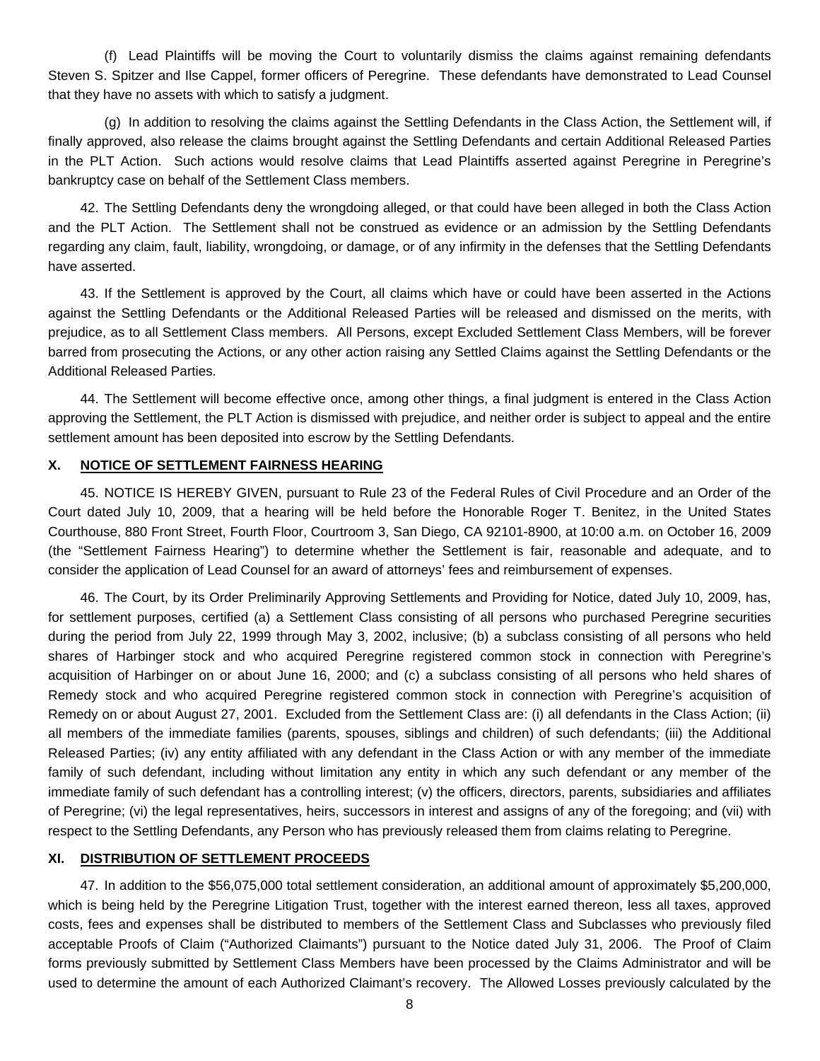(f) Lead Plaintiffs will be moving the Court to voluntarily dismiss the claims against remaining defendants Steven S. Spitzer and Ilse Cappel, former officers of Peregrine. These defendants have demonstrated to Lead Counsel that they have no assets with which to satisfy a judgment.

 (g) In addition to resolving the claims against the Settling Defendants in the Class Action, the Settlement will, if finally approved, also release the claims brought against the Settling Defendants and certain Additional Released Parties in the PLT Action. Such actions would resolve claims that Lead Plaintiffs asserted against Peregrine in Peregrine's bankruptcy case on behalf of the Settlement Class members.

42. The Settling Defendants deny the wrongdoing alleged, or that could have been alleged in both the Class Action and the PLT Action. The Settlement shall not be construed as evidence or an admission by the Settling Defendants regarding any claim, fault, liability, wrongdoing, or damage, or of any infirmity in the defenses that the Settling Defendants have asserted.

43. If the Settlement is approved by the Court, all claims which have or could have been asserted in the Actions against the Settling Defendants or the Additional Released Parties will be released and dismissed on the merits, with prejudice, as to all Settlement Class members. All Persons, except Excluded Settlement Class Members, will be forever barred from prosecuting the Actions, or any other action raising any Settled Claims against the Settling Defendants or the Additional Released Parties.

44. The Settlement will become effective once, among other things, a final judgment is entered in the Class Action approving the Settlement, the PLT Action is dismissed with prejudice, and neither order is subject to appeal and the entire settlement amount has been deposited into escrow by the Settling Defendants.

#### **X. NOTICE OF SETTLEMENT FAIRNESS HEARING**

45. NOTICE IS HEREBY GIVEN, pursuant to Rule 23 of the Federal Rules of Civil Procedure and an Order of the Court dated July 10, 2009, that a hearing will be held before the Honorable Roger T. Benitez, in the United States Courthouse, 880 Front Street, Fourth Floor, Courtroom 3, San Diego, CA 92101-8900, at 10:00 a.m. on October 16, 2009 (the "Settlement Fairness Hearing") to determine whether the Settlement is fair, reasonable and adequate, and to consider the application of Lead Counsel for an award of attorneys' fees and reimbursement of expenses.

46. The Court, by its Order Preliminarily Approving Settlements and Providing for Notice, dated July 10, 2009, has, for settlement purposes, certified (a) a Settlement Class consisting of all persons who purchased Peregrine securities during the period from July 22, 1999 through May 3, 2002, inclusive; (b) a subclass consisting of all persons who held shares of Harbinger stock and who acquired Peregrine registered common stock in connection with Peregrine's acquisition of Harbinger on or about June 16, 2000; and (c) a subclass consisting of all persons who held shares of Remedy stock and who acquired Peregrine registered common stock in connection with Peregrine's acquisition of Remedy on or about August 27, 2001. Excluded from the Settlement Class are: (i) all defendants in the Class Action; (ii) all members of the immediate families (parents, spouses, siblings and children) of such defendants; (iii) the Additional Released Parties; (iv) any entity affiliated with any defendant in the Class Action or with any member of the immediate family of such defendant, including without limitation any entity in which any such defendant or any member of the immediate family of such defendant has a controlling interest; (v) the officers, directors, parents, subsidiaries and affiliates of Peregrine; (vi) the legal representatives, heirs, successors in interest and assigns of any of the foregoing; and (vii) with respect to the Settling Defendants, any Person who has previously released them from claims relating to Peregrine.

#### **XI. DISTRIBUTION OF SETTLEMENT PROCEEDS**

47. In addition to the \$56,075,000 total settlement consideration, an additional amount of approximately \$5,200,000, which is being held by the Peregrine Litigation Trust, together with the interest earned thereon, less all taxes, approved costs, fees and expenses shall be distributed to members of the Settlement Class and Subclasses who previously filed acceptable Proofs of Claim ("Authorized Claimants") pursuant to the Notice dated July 31, 2006. The Proof of Claim forms previously submitted by Settlement Class Members have been processed by the Claims Administrator and will be used to determine the amount of each Authorized Claimant's recovery. The Allowed Losses previously calculated by the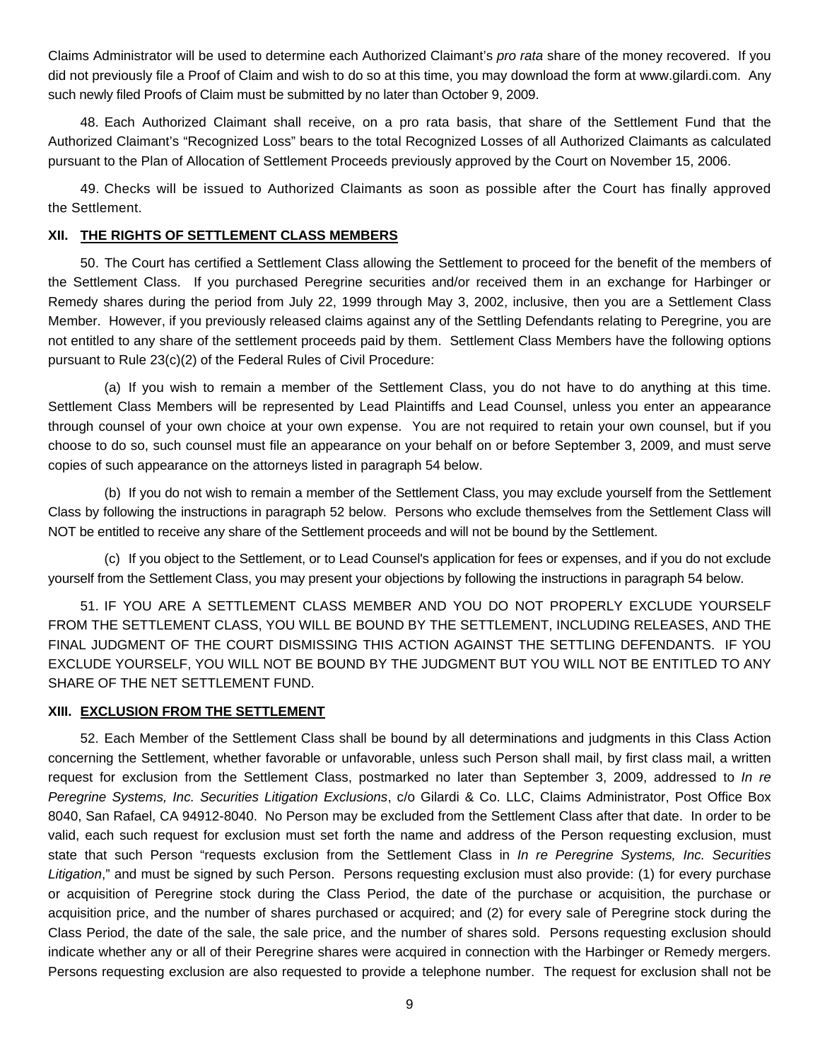Claims Administrator will be used to determine each Authorized Claimant's *pro rata* share of the money recovered. If you did not previously file a Proof of Claim and wish to do so at this time, you may download the form at [www.gilardi.com.](http://www.gilardi.com/) Any such newly filed Proofs of Claim must be submitted by no later than October 9, 2009.

48. Each Authorized Claimant shall receive, on a pro rata basis, that share of the Settlement Fund that the Authorized Claimant's "Recognized Loss" bears to the total Recognized Losses of all Authorized Claimants as calculated pursuant to the Plan of Allocation of Settlement Proceeds previously approved by the Court on November 15, 2006.

49. Checks will be issued to Authorized Claimants as soon as possible after the Court has finally approved the Settlement.

#### **XII. THE RIGHTS OF SETTLEMENT CLASS MEMBERS**

50. The Court has certified a Settlement Class allowing the Settlement to proceed for the benefit of the members of the Settlement Class. If you purchased Peregrine securities and/or received them in an exchange for Harbinger or Remedy shares during the period from July 22, 1999 through May 3, 2002, inclusive, then you are a Settlement Class Member. However, if you previously released claims against any of the Settling Defendants relating to Peregrine, you are not entitled to any share of the settlement proceeds paid by them. Settlement Class Members have the following options pursuant to Rule 23(c)(2) of the Federal Rules of Civil Procedure:

(a) If you wish to remain a member of the Settlement Class, you do not have to do anything at this time. Settlement Class Members will be represented by Lead Plaintiffs and Lead Counsel, unless you enter an appearance through counsel of your own choice at your own expense. You are not required to retain your own counsel, but if you choose to do so, such counsel must file an appearance on your behalf on or before September 3, 2009, and must serve copies of such appearance on the attorneys listed in paragraph 54 below.

(b) If you do not wish to remain a member of the Settlement Class, you may exclude yourself from the Settlement Class by following the instructions in paragraph 52 below. Persons who exclude themselves from the Settlement Class will NOT be entitled to receive any share of the Settlement proceeds and will not be bound by the Settlement.

(c) If you object to the Settlement, or to Lead Counsel's application for fees or expenses, and if you do not exclude yourself from the Settlement Class, you may present your objections by following the instructions in paragraph 54 below.

51. IF YOU ARE A SETTLEMENT CLASS MEMBER AND YOU DO NOT PROPERLY EXCLUDE YOURSELF FROM THE SETTLEMENT CLASS, YOU WILL BE BOUND BY THE SETTLEMENT, INCLUDING RELEASES, AND THE FINAL JUDGMENT OF THE COURT DISMISSING THIS ACTION AGAINST THE SETTLING DEFENDANTS. IF YOU EXCLUDE YOURSELF, YOU WILL NOT BE BOUND BY THE JUDGMENT BUT YOU WILL NOT BE ENTITLED TO ANY SHARE OF THE NET SETTLEMENT FUND.

#### **XIII. EXCLUSION FROM THE SETTLEMENT**

52. Each Member of the Settlement Class shall be bound by all determinations and judgments in this Class Action concerning the Settlement, whether favorable or unfavorable, unless such Person shall mail, by first class mail, a written request for exclusion from the Settlement Class, postmarked no later than September 3, 2009, addressed to *In re Peregrine Systems, Inc. Securities Litigation Exclusions*, c/o Gilardi & Co. LLC, Claims Administrator, Post Office Box 8040, San Rafael, CA 94912-8040. No Person may be excluded from the Settlement Class after that date. In order to be valid, each such request for exclusion must set forth the name and address of the Person requesting exclusion, must state that such Person "requests exclusion from the Settlement Class in *In re Peregrine Systems, Inc. Securities Litigation*," and must be signed by such Person. Persons requesting exclusion must also provide: (1) for every purchase or acquisition of Peregrine stock during the Class Period, the date of the purchase or acquisition, the purchase or acquisition price, and the number of shares purchased or acquired; and (2) for every sale of Peregrine stock during the Class Period, the date of the sale, the sale price, and the number of shares sold. Persons requesting exclusion should indicate whether any or all of their Peregrine shares were acquired in connection with the Harbinger or Remedy mergers. Persons requesting exclusion are also requested to provide a telephone number. The request for exclusion shall not be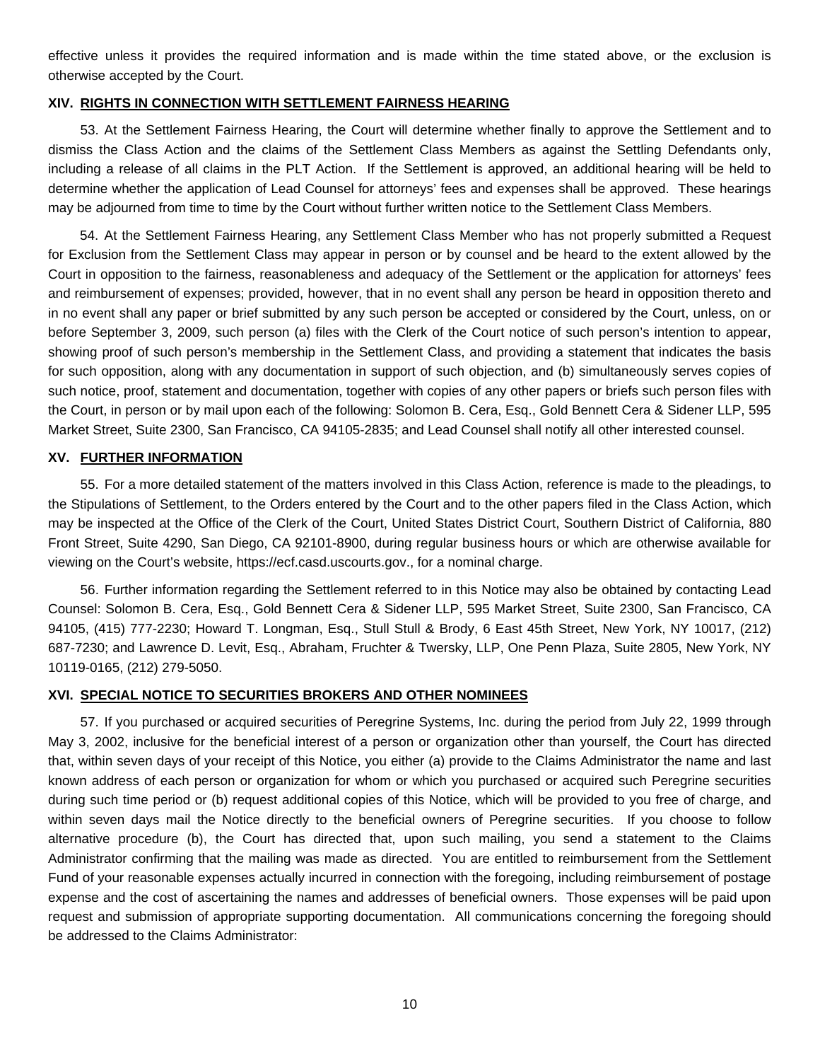effective unless it provides the required information and is made within the time stated above, or the exclusion is otherwise accepted by the Court.

#### **XIV. RIGHTS IN CONNECTION WITH SETTLEMENT FAIRNESS HEARING**

53. At the Settlement Fairness Hearing, the Court will determine whether finally to approve the Settlement and to dismiss the Class Action and the claims of the Settlement Class Members as against the Settling Defendants only, including a release of all claims in the PLT Action. If the Settlement is approved, an additional hearing will be held to determine whether the application of Lead Counsel for attorneys' fees and expenses shall be approved. These hearings may be adjourned from time to time by the Court without further written notice to the Settlement Class Members.

54. At the Settlement Fairness Hearing, any Settlement Class Member who has not properly submitted a Request for Exclusion from the Settlement Class may appear in person or by counsel and be heard to the extent allowed by the Court in opposition to the fairness, reasonableness and adequacy of the Settlement or the application for attorneys' fees and reimbursement of expenses; provided, however, that in no event shall any person be heard in opposition thereto and in no event shall any paper or brief submitted by any such person be accepted or considered by the Court, unless, on or before September 3, 2009, such person (a) files with the Clerk of the Court notice of such person's intention to appear, showing proof of such person's membership in the Settlement Class, and providing a statement that indicates the basis for such opposition, along with any documentation in support of such objection, and (b) simultaneously serves copies of such notice, proof, statement and documentation, together with copies of any other papers or briefs such person files with the Court, in person or by mail upon each of the following: Solomon B. Cera, Esq., Gold Bennett Cera & Sidener LLP, 595 Market Street, Suite 2300, San Francisco, CA 94105-2835; and Lead Counsel shall notify all other interested counsel.

#### **XV. FURTHER INFORMATION**

55. For a more detailed statement of the matters involved in this Class Action, reference is made to the pleadings, to the Stipulations of Settlement, to the Orders entered by the Court and to the other papers filed in the Class Action, which may be inspected at the Office of the Clerk of the Court, United States District Court, Southern District of California, 880 Front Street, Suite 4290, San Diego, CA 92101-8900, during regular business hours or which are otherwise available for viewing on the Court's website, https://ecf.casd.uscourts.gov., for a nominal charge.

56. Further information regarding the Settlement referred to in this Notice may also be obtained by contacting Lead Counsel: Solomon B. Cera, Esq., Gold Bennett Cera & Sidener LLP, 595 Market Street, Suite 2300, San Francisco, CA 94105, (415) 777-2230; Howard T. Longman, Esq., Stull Stull & Brody, 6 East 45th Street, New York, NY 10017, (212) 687-7230; and Lawrence D. Levit, Esq., Abraham, Fruchter & Twersky, LLP, One Penn Plaza, Suite 2805, New York, NY 10119-0165, (212) 279-5050.

#### **XVI. SPECIAL NOTICE TO SECURITIES BROKERS AND OTHER NOMINEES**

57. If you purchased or acquired securities of Peregrine Systems, Inc. during the period from July 22, 1999 through May 3, 2002, inclusive for the beneficial interest of a person or organization other than yourself, the Court has directed that, within seven days of your receipt of this Notice, you either (a) provide to the Claims Administrator the name and last known address of each person or organization for whom or which you purchased or acquired such Peregrine securities during such time period or (b) request additional copies of this Notice, which will be provided to you free of charge, and within seven days mail the Notice directly to the beneficial owners of Peregrine securities. If you choose to follow alternative procedure (b), the Court has directed that, upon such mailing, you send a statement to the Claims Administrator confirming that the mailing was made as directed. You are entitled to reimbursement from the Settlement Fund of your reasonable expenses actually incurred in connection with the foregoing, including reimbursement of postage expense and the cost of ascertaining the names and addresses of beneficial owners. Those expenses will be paid upon request and submission of appropriate supporting documentation. All communications concerning the foregoing should be addressed to the Claims Administrator: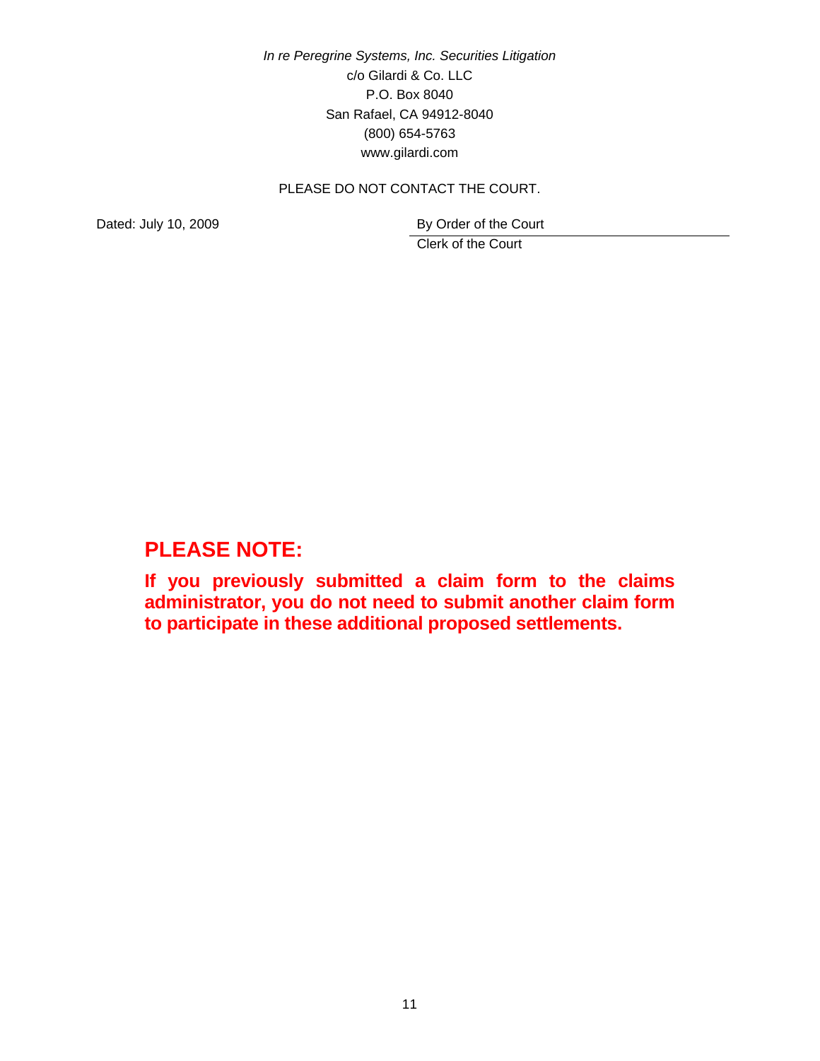*In re Peregrine Systems, Inc. Securities Litigation* c/o Gilardi & Co. LLC P.O. Box 8040 San Rafael, CA 94912-8040 (800) 654-5763 www.gilardi.com

# PLEASE DO NOT CONTACT THE COURT.

Dated: July 10, 2009 By Order of the Court

Clerk of the Court

# **PLEASE NOTE:**

**If you previously submitted a claim form to the claims administrator, you do not need to submit another claim form to participate in these additional proposed settlements.**